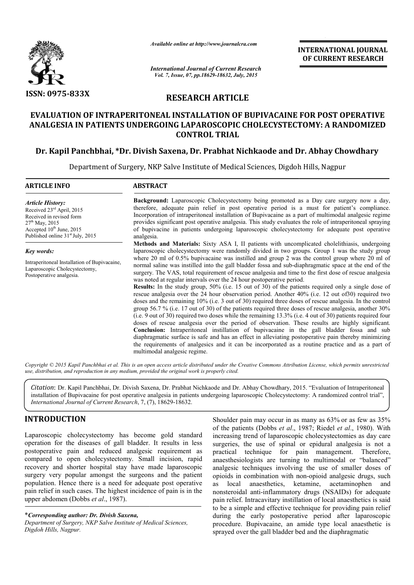

*Available online at http://www.journalcra.com*

**INTERNATIONAL INTERNATIONAL JOURNAL OF CURRENT RESEARCH** 

*International Journal of Current Research Vol. 7, Issue, 07, pp.18629-18632, July, 2015*

# **RESEARCH ARTICLE**

## **EVALUATION OF INTRAPERITONEAL INSTALLATION OF BUPIVACAINE FOR POST OPERATIVE POST OPERATIVE ANALGESIA IN PATIENTS UNDERGOING LAPAROSCOPIC CHOLECYSTECTOMY: A RANDOMIZED A RANDOMIZED CONTROL TRIAL**

# **Dr. Kapil Panchbhai, \*Dr. Divish Saxena Dr. Saxena, Dr. Prabhat Nichkaode and Dr. Abhay Chowdhary**

Department of Surgery, NKP Salve Institute of Medical Sciences, Digdoh Hills, Nagpur

| <b>ARTICLE INFO</b>                                                                                                                                                                               | <b>ABSTRACT</b>                                                                                                                                                                                                                                                                                                                                                                                                                                                                                                                                                                                                                                                                                                                                                                                                                                                                                                                                                                                                                                                                                                                                                                                                                                                                                                                                                                                                                                                                                                                                                                                                |  |
|---------------------------------------------------------------------------------------------------------------------------------------------------------------------------------------------------|----------------------------------------------------------------------------------------------------------------------------------------------------------------------------------------------------------------------------------------------------------------------------------------------------------------------------------------------------------------------------------------------------------------------------------------------------------------------------------------------------------------------------------------------------------------------------------------------------------------------------------------------------------------------------------------------------------------------------------------------------------------------------------------------------------------------------------------------------------------------------------------------------------------------------------------------------------------------------------------------------------------------------------------------------------------------------------------------------------------------------------------------------------------------------------------------------------------------------------------------------------------------------------------------------------------------------------------------------------------------------------------------------------------------------------------------------------------------------------------------------------------------------------------------------------------------------------------------------------------|--|
| <b>Article History:</b><br>Received 23 <sup>rd</sup> April, 2015<br>Received in revised form<br>$27th$ May, 2015<br>Accepted $10^{th}$ June, 2015<br>Published online 31 <sup>st</sup> July, 2015 | <b>Background:</b> Laparoscopic Cholecystectomy being promoted as a Day care surgery now a day,<br>therefore, adequate pain relief in post operative period is a must for patient's compliance.<br>Incorporation of intraperitoneal installation of Bupivacaine as a part of multimodal analgesic regime<br>provides significant post operative analgesia. This study evaluates the role of intraperitoneal spraying<br>of bupivacine in patients undergoing laparoscopic cholecystectomy for adequate post operative<br>analgesia.                                                                                                                                                                                                                                                                                                                                                                                                                                                                                                                                                                                                                                                                                                                                                                                                                                                                                                                                                                                                                                                                            |  |
| <b>Key words:</b><br>Intraperitoneal Installation of Bupivacaine,<br>Laparoscopic Cholecystectomy,<br>Postoperative analgesia.                                                                    | Methods and Materials: Sixty ASA I, II patients with uncomplicated cholelithiasis, undergoing<br>laparoscopic cholecystectomy were randomly divided in two groups. Group 1 was the study group<br>where 20 ml of $0.5\%$ bupivacaine was instilled and group 2 was the control group where 20 ml of<br>normal saline was instilled into the gall bladder fossa and sub-diaphragmatic space at the end of the<br>surgery. The VAS, total requirement of rescue analgesia and time to the first dose of rescue analgesia<br>was noted at regular intervals over the 24 hour postoperative period.<br><b>Results:</b> In the study group, 50% (i.e. 15 out of 30) of the patients required only a single dose of<br>rescue analgesia over the 24 hour observation period. Another 40% (i.e. 12 out of 30) required two<br>doses and the remaining 10% (i.e. 3 out of 30) required three doses of rescue analgesia. In the control<br>group 56.7 % (i.e. 17 out of 30) of the patients required three doses of rescue analgesia, another $30\%$<br>(i.e. 9 out of 30) required two doses while the remaining $13.3\%$ (i.e. 4 out of 30) patients required four<br>doses of rescue analgesia over the period of observation. These results are highly significant.<br><b>Conclusion:</b> Intraperitoneal instillation of bupivacaine in the gall bladder fossa and sub<br>diaphragmatic surface is safe and has an effect in alleviating postoperative pain thereby minimizing<br>the requirements of analgesics and it can be incorporated as a routine practice and as a part of<br>multimodal analgesic regime. |  |

Copyright © 2015 Kapil Panchbhai et al. This is an open access article distributed under the Creative Commons Attribution License, which permits unrestricted *use, distribution, and reproduction in any medium, provided the original work is properly cited.*

*Citation*: Dr. Kapil Panchbhai, Dr. Divish Saxena, Dr. Prabhat Nichkaode and Dr. Abhay Chowdhary, 2015. " "Evaluation of Intraperitoneal installation of Bupivacaine for post operative analgesia in patients undergoing laparoscopic Cholecystectomy: A randomized control trial", *International Journal of Current Research*, 7, (7), 18629-18632.

## **INTRODUCTION**

Laparoscopic cholecystectomy has become gold standard operation for the diseases of gall bladder. It results in less postoperative pain and reduced analgesic requirement as compared to open cholecystectomy. Small incision, rapid recovery and shorter hospital stay have made laparoscopic surgery very popular amongst the surgeons and the patient population. Hence there is a need for adequate post operative pain relief in such cases. The highest incidence of pain is in the upper abdomen (Dobbs *et al*., 1987).

\**Corresponding author: Dr. Divish Saxena, Department of Surgery, NKP Salve Institute of Medical Sciences, Digdoh Hills, Nagpur.*

Shoulder pain may occur in as many as 63%<br>of the patients (Dobbs *et al.*, 1987; Riedel *e*<br>f gall bladder. It results in less<br>luced analgesic requirement as<br>stectomy. Small incision, rapid analgesic technique for pain man of the patients (Dobbs *et al*., 1987 1987; Riedel *et al*., 1980). With increasing trend of laparoscopic cholecystectomies as day care surgeries, the use of spinal or epidural analgesia is not a practical technique for pain management. Therefore, anaesthesiologists are turning to multimodal or "balanced" analgesic techniques involving the use of smaller doses of opioids in combination with non-opioid analgesic drugs, such<br>as <br>local anaesthetics <br>ketamine <br>acetaminophen and as local anaesthetics, ketamine, acetaminophen and nonsteroidal anti-inflammatory drugs (NSAIDs) for adequate pain relief. Intracavitary instillation of local anaesthetics is said to be a simple and effective technique for providing pain relief during the early postoperative period after laparoscopic procedure. Bupivacaine, an amide type local anaesthetic is during the early postoperative period after lapare<br>procedure. Bupivacaine, an amide type local anaestl<br>sprayed over the gall bladder bed and the diaphragmatic Shoulder pain may occur in as many as 63% or as few as 35% increasing trend of laparoscopic cholecystectomies as day care<br>surgeries, the use of spinal or epidural analgesia is not a<br>practical technique for pain management. Therefore,<br>anaesthesiologists are turning to multimodal or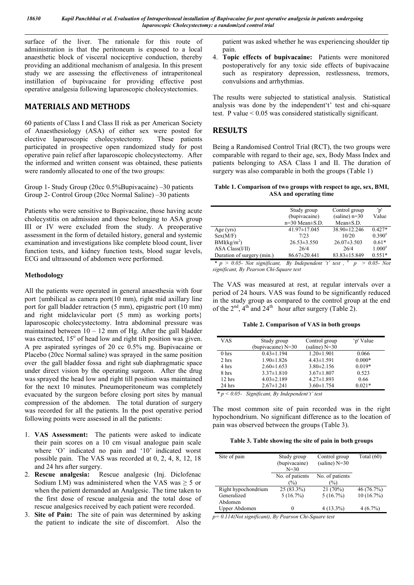surface of the liver. The rationale for this route of administration is that the peritoneum is exposed to a local anaesthetic block of visceral nociceptive conduction, thereby providing an additional mechanism of analgesia. In this present study we are assessing the effectiveness of intraperitoneal instillation of bupivacaine for providing effective post operative analgesia following laparoscopic cholecystectomies.

## **MATERIALS AND METHODS**

60 patients of Class I and Class II risk as per American Society of Anaesthesiology (ASA) of either sex were posted for elective laparoscopic cholecystectomy. participated in prospective open randomized study for post operative pain relief after laparoscopic cholecystectomy. After the informed and written consent was obtained, these patients were randomly allocated to one of the two groups:

Group 1- Study Group (20cc 0.5%Bupivacaine) –30 patients Group 2- Control Group (20cc Normal Saline) –30 patients

Patients who were sensitive to Bupivacaine, those having acute cholecystitis on admission and those belonging to ASA group III or IV were excluded from the study. A preoperative assessment in the form of detailed history, general and systemic examination and investigations like complete blood count, liver function tests, and kidney function tests, blood sugar levels, ECG and ultrasound of abdomen were performed.

#### **Methodology**

All the patients were operated in general anaesthesia with four port {umbilical as camera port(10 mm), right mid axillary line port for gall bladder retraction (5 mm), epigastric port (10 mm) and right midclavicular port (5 mm) as working ports} laparoscopic cholecystectomy. Intra abdominal pressure was maintained between  $10 - 12$  mm of Hg. After the gall bladder was extracted,  $15^{\circ}$  of head low and right tilt position was given. A pre aspirated syringes of 20 cc 0.5% mg. Bupivacaine or Placebo (20cc Normal saline) was sprayed in the same position over the gall bladder fossa and right sub diaphragmatic space under direct vision by the operating surgeon. After the drug was sprayed the head low and right till position was maintained for the next 10 minutes. Pneumoperitoneum was completely evacuated by the surgeon before closing port sites by manual compression of the abdomen. The total duration of surgery was recorded for all the patients. In the post operative period following points were assessed in all the patients:

- 1. **VAS Assessment:** The patients were asked to indicate their pain scores on a 10 cm visual analogue pain scale where 'O' indicated no pain and '10' indicated worst possible pain. The VAS was recorded at 0, 2, 4, 8, 12, 18 and 24 hrs after surgery.
- 2. **Rescue analgesia:** Rescue analgesic (Inj. Diclofenac Sodium I.M) was administered when the VAS was  $\geq$  5 or when the patient demanded an Analgesic. The time taken to the first dose of rescue analgesia and the total dose of rescue analgesics received by each patient were recorded.
- 3. **Site of Pain:** The site of pain was determined by asking the patient to indicate the site of discomfort. Also the

patient was asked whether he was experiencing shoulder tip pain.

4. **Topic effects of bupivacaine:** Patients were monitored postoperatively for any toxic side effects of bupivacaine such as respiratory depression, restlessness, tremors, convulsions and arrhythmias.

The results were subjected to statistical analysis. Statistical analysis was done by the independent't' test and chi-square test. P value < 0.05 was considered statistically significant.

## **RESULTS**

Being a Randomised Control Trial (RCT), the two groups were comparable with regard to their age, sex, Body Mass Index and patients belonging to ASA Class I and II. The duration of surgery was also comparable in both the groups (Table 1)

**Table 1. Comparison of two groups with respect to age, sex, BMI, ASA and operating time**

|                               | Study group            | Control group     | 'p'         |
|-------------------------------|------------------------|-------------------|-------------|
|                               | (bupivacaine)          | $(saline)$ n=30   | Value       |
|                               | $n=30$ Mean $\pm$ S.D. | $Mean \pm S.D.$   |             |
| Age (yrs)                     | 41.97±17.045           | 38.90±12.246      | $0.427*$    |
| Sex(M/F)                      | 7/23                   | 10/20             | $0.390^{#}$ |
| BMI(kg/m <sup>2</sup> )       | $26.53 \pm 3.550$      | $26.07 \pm 3.503$ | $0.61*$     |
| ASA Class(I/II)               | 26/4                   | 26/4              | $1.000^{#}$ |
| Duration of surgery (min.)    | 86.67±20.441           | 83.83±15.849      | $0.551*$    |
| $\mathbf{a}$ and $\mathbf{a}$ |                        | #                 | 0.07.7      |

 $*$   $p > 0.05$ - *Not significant, By Independent 't' test*,  $*$   $p > 0.05$ - *Not significant, By Pearson Chi-Square test* 

The VAS was measured at rest, at regular intervals over a period of 24 hours. VAS was found to be significantly reduced in the study group as compared to the control group at the end of the  $2<sup>nd</sup>$ ,  $4<sup>th</sup>$  and  $24<sup>th</sup>$  hour after surgery (Table 2).

**Table 2. Comparison of VAS in both groups**

| <b>VAS</b>       | Study group          | Control group    | 'p' Value |
|------------------|----------------------|------------------|-----------|
|                  | (bupivacaine) $N=30$ | (saline) $N=30$  |           |
| 0 <sub>hrs</sub> | $0.43 \pm 1.194$     | $1.20 \pm 1.901$ | 0.066     |
| 2 hrs            | $1.90 \pm 1.826$     | $4.43 \pm 1.591$ | $0.000*$  |
| 4 hrs            | $2.60 \pm 1.653$     | $3.80 \pm 2.156$ | $0.019*$  |
| 8 hrs            | $3.37 \pm 1.810$     | $3.67 \pm 1.807$ | 0.523     |
| 12 hrs           | $4.03 \pm 2.189$     | $4.27 \pm 1.893$ | 0.66      |
| 24 hrs           | $2.67 \pm 1.241$     | $3.60 \pm 1.754$ | $0.021*$  |

 *\* p < 0.05- Significant, By Independent't' test*

The most common site of pain recorded was in the right hypochondrium. No significant difference as to the location of pain was observed between the groups (Table 3).

| Site of pain        | Study group<br>(bupivacaine)<br>$N = 30$ | Control group<br>(saline) $N=30$ | Total $(60)$ |
|---------------------|------------------------------------------|----------------------------------|--------------|
|                     | No. of patients<br>$\binom{0}{0}$        | No. of patients<br>$\%$          |              |
| Right hypochondrium | 25 (83.3%)                               | 21(70%)                          | 46(76.7%)    |
| Generalized         | 5(16.7%)                                 | 5(16.7%)                         | 10(16.7%)    |
| Abdomen             |                                          |                                  |              |
| Upper Abdomen       |                                          | $4(13.3\%)$                      | $4(6.7\%)$   |

*p= 0.114(Not significant), By Pearson Chi-Square test*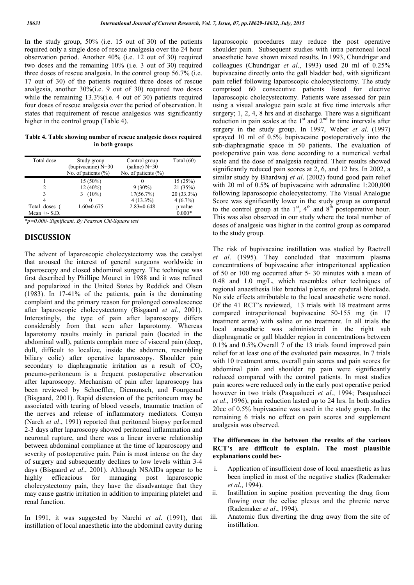In the study group, 50% (i.e. 15 out of 30) of the patients required only a single dose of rescue analgesia over the 24 hour observation period. Another 40% (i.e. 12 out of 30) required two doses and the remaining 10% (i.e. 3 out of 30) required three doses of rescue analgesia. In the control group 56.7% (i.e. 17 out of 30) of the patients required three doses of rescue analgesia, another 30%(i.e. 9 out of 30) required two doses while the remaining 13.3%(i.e. 4 out of 30) patients required four doses of rescue analgesia over the period of observation. It states that requirement of rescue analgesics was significantly higher in the control group (Table 4).

**Table 4. Table showing number of rescue analgesic doses required in both groups**

| Total dose      | Study group<br>(bupivacaine) $N=30$ | Control group<br>(saline) $N=30$ | Total $(60)$ |
|-----------------|-------------------------------------|----------------------------------|--------------|
|                 | No. of patients $(\% )$             | No. of patients $(\% )$          |              |
|                 | $15(50\%)$                          |                                  | 15(25%)      |
|                 | $12(40\%)$                          | $9(30\%)$                        | 21(35%)      |
|                 | $(10\%)$<br>3                       | 17(56.7%)                        | $20(33.3\%)$ |
|                 |                                     | $4(13.3\%)$                      | $4(6.7\%)$   |
| Total doses (   | $1.60 \pm 0.675$                    | $2.83 \pm 0.648$                 | p value      |
| Mean $+/-$ S.D. |                                     |                                  | $0.000*$     |

*\*p=0.000- Significant, By Pearson Chi-Square test* 

### **DISCUSSION**

The advent of laparoscopic cholecystectomy was the catalyst that aroused the interest of general surgeons worldwide in laparoscopy and closed abdominal surgery. The technique was first described by Phillipe Mouret in 1988 and it was refined and popularized in the United States by Reddick and Olsen (1983). In 17-41% of the patients, pain is the dominating complaint and the primary reason for prolonged convalescence after laparoscopic cholecystectomy (Bisgaard *et al*., 2001). Interestingly, the type of pain after laparoscopy differs considerably from that seen after laparotomy. Whereas laparotomy results mainly in parietal pain (located in the abdominal wall), patients complain more of visceral pain (deep, dull, difficult to localize, inside the abdomen, resembling biliary colic) after operative laparoscopy. Shoulder pain secondary to diaphragmatic irritation as a result of  $CO<sub>2</sub>$ pneumo-peritoneum is a frequent postoperative observation after laparoscopy. Mechanism of pain after laparoscopy has been reviewed by Schoeffler, Diemunsch, and Fourgeaud (Bisgaard, 2001). Rapid distension of the peritoneum may be associated with tearing of blood vessels, traumatic traction of the nerves and release of inflammatory mediators. Comyn (Narch *et al*., 1991) reported that peritoneal biopsy performed 2-3 days after laparoscopy showed peritoneal inflammation and neuronal rupture, and there was a linear inverse relationship between abdominal compliance at the time of laparoscopy and severity of postoperative pain. Pain is most intense on the day of surgery and subsequently declines to low levels within 3-4 days (Bisgaard *et al*., 2001). Although NSAIDs appear to be highly efficacious for managing post laparoscopic cholecystectomy pain, they have the disadvantage that they may cause gastric irritation in addition to impairing platelet and renal function.

In 1991, it was suggested by Narchi *et al*. (1991), that instillation of local anaesthetic into the abdominal cavity during laparoscopic procedures may reduce the post operative shoulder pain. Subsequent studies with intra peritoneal local anaesthetic have shown mixed results. In 1993, Chundrigar and colleagues (Chundrigar *et al*., 1993) used 20 ml of 0.25% bupivacaine directly onto the gall bladder bed, with significant pain relief following laparoscopic cholecystectomy. The study comprised 60 consecutive patients listed for elective laparoscopic cholecystectomy. Patients were assessed for pain using a visual analogue pain scale at five time intervals after surgery; 1, 2, 4, 8 hrs and at discharge. There was a significant reduction in pain scales at the  $1<sup>st</sup>$  and  $2<sup>nd</sup>$  hr time intervals after surgery in the study group. In 1997, Weber *et al*. (1997) sprayed 10 ml of 0.5% bupivacaine postoperatively into the sub-diaphragmatic space in 50 patients. The evaluation of postoperative pain was done according to a numerical verbal scale and the dose of analgesia required. Their results showed significantly reduced pain scores at 2, 6, and 12 hrs. In 2002, a similar study by Bhardwaj *et al*. (2002) found good pain relief with 20 ml of 0.5% of bupivacaine with adrenaline 1:200,000 following laparoscopic cholecystectomy. The Visual Analogue Score was significantly lower in the study group as compared to the control group at the  $1<sup>st</sup>$ ,  $4<sup>th</sup>$  and  $8<sup>th</sup>$  postoperative hour. This was also observed in our study where the total number of doses of analgesic was higher in the control group as compared to the study group.

The risk of bupivacaine instillation was studied by Raetzell *et al*. (1995). They concluded that maximum plasma concentrations of bupivacaine after intraperitoneal application of 50 or 100 mg occurred after 5- 30 minutes with a mean of 0.48 and 1.0 mg/L, which resembles other techniques of regional anaesthesia like brachial plexus or epidural blockade. No side effects attributable to the local anaesthetic were noted. Of the 41 RCT's reviewed, 13 trials with 18 treatment arms compared intraperitoneal bupivacaine 50-155 mg (in 17 treatment arms) with saline or no treatment. In all trials the local anaesthetic was administered in the right sub diaphragmatic or gall bladder region in concentrations between 0.1% and 0.5%.Overall 7 of the 13 trials found improved pain relief for at least one of the evaluated pain measures. In 7 trials with 10 treatment arms, overall pain scores and pain scores for abdominal pain and shoulder tip pain were significantly reduced compared with the control patients. In most studies pain scores were reduced only in the early post operative period however in two trials (Pasqualucci *et al*., 1994; Pasqualucci *et al*., 1996), pain reduction lasted up to 24 hrs. In both studies 20cc of 0.5% bupivacaine was used in the study group. In the remaining 6 trials no effect on pain scores and supplement analgesia was observed.

#### **The differences in the between the results of the various RCT's are difficult to explain. The most plausible explanations could be:-**

- i. Application of insufficient dose of local anaesthetic as has been implied in most of the negative studies (Rademaker *et al*., 1994).
- ii. Instillation in supine position preventing the drug from flowing over the celiac plexus and the phrenic nerve (Rademaker *et al*., 1994).
- iii. Anatomic flux diverting the drug away from the site of instillation.